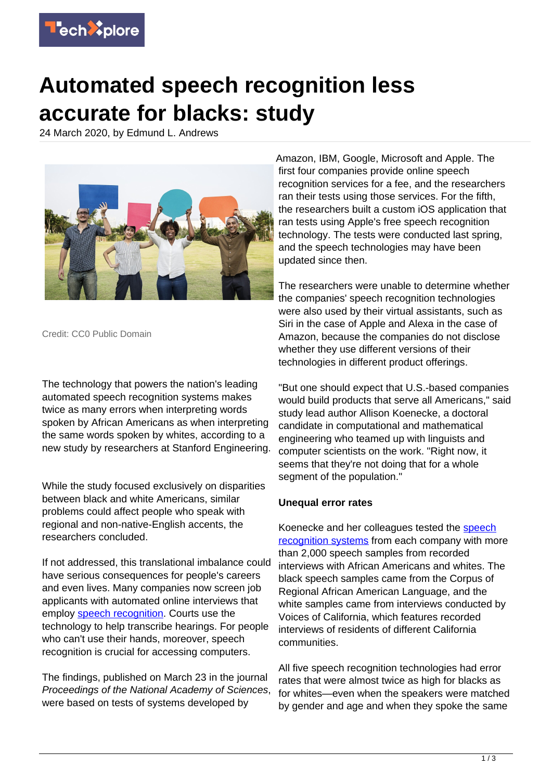

## **Automated speech recognition less accurate for blacks: study**

24 March 2020, by Edmund L. Andrews



Credit: CC0 Public Domain

The technology that powers the nation's leading automated speech recognition systems makes twice as many errors when interpreting words spoken by African Americans as when interpreting the same words spoken by whites, according to a new study by researchers at Stanford Engineering.

While the study focused exclusively on disparities between black and white Americans, similar problems could affect people who speak with regional and non-native-English accents, the researchers concluded.

If not addressed, this translational imbalance could have serious consequences for people's careers and even lives. Many companies now screen job applicants with automated online interviews that employ [speech recognition](https://techxplore.com/tags/speech+recognition/). Courts use the technology to help transcribe hearings. For people who can't use their hands, moreover, speech recognition is crucial for accessing computers.

The findings, published on March 23 in the journal Proceedings of the National Academy of Sciences, were based on tests of systems developed by

Amazon, IBM, Google, Microsoft and Apple. The first four companies provide online speech recognition services for a fee, and the researchers ran their tests using those services. For the fifth, the researchers built a custom iOS application that ran tests using Apple's free speech recognition technology. The tests were conducted last spring, and the speech technologies may have been updated since then.

The researchers were unable to determine whether the companies' speech recognition technologies were also used by their virtual assistants, such as Siri in the case of Apple and Alexa in the case of Amazon, because the companies do not disclose whether they use different versions of their technologies in different product offerings.

"But one should expect that U.S.-based companies would build products that serve all Americans," said study lead author Allison Koenecke, a doctoral candidate in computational and mathematical engineering who teamed up with linguists and computer scientists on the work. "Right now, it seems that they're not doing that for a whole segment of the population."

## **Unequal error rates**

Koenecke and her colleagues tested the [speech](https://techxplore.com/tags/speech+recognition+systems/) [recognition systems](https://techxplore.com/tags/speech+recognition+systems/) from each company with more than 2,000 speech samples from recorded interviews with African Americans and whites. The black speech samples came from the Corpus of Regional African American Language, and the white samples came from interviews conducted by Voices of California, which features recorded interviews of residents of different California communities.

All five speech recognition technologies had error rates that were almost twice as high for blacks as for whites—even when the speakers were matched by gender and age and when they spoke the same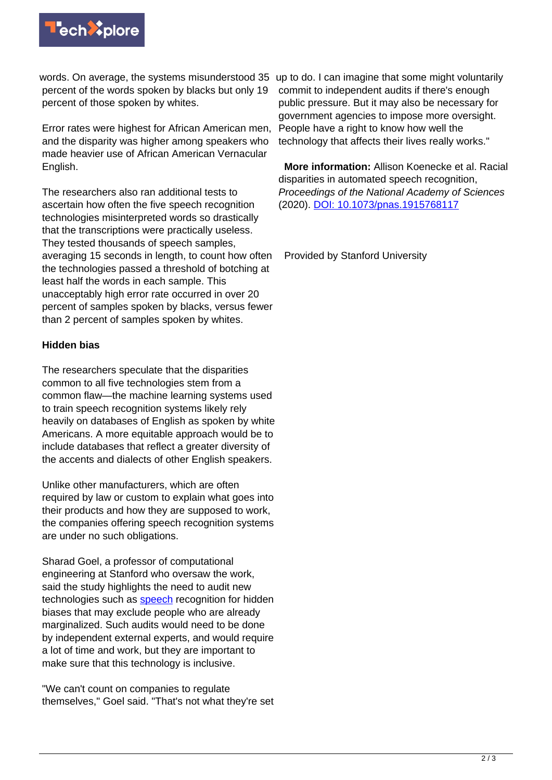

words. On average, the systems misunderstood 35 up to do. I can imagine that some might voluntarily percent of the words spoken by blacks but only 19 percent of those spoken by whites.

Error rates were highest for African American men, and the disparity was higher among speakers who made heavier use of African American Vernacular English.

The researchers also ran additional tests to ascertain how often the five speech recognition technologies misinterpreted words so drastically that the transcriptions were practically useless. They tested thousands of speech samples, averaging 15 seconds in length, to count how often the technologies passed a threshold of botching at least half the words in each sample. This unacceptably high error rate occurred in over 20 percent of samples spoken by blacks, versus fewer than 2 percent of samples spoken by whites.

## **Hidden bias**

The researchers speculate that the disparities common to all five technologies stem from a common flaw—the machine learning systems used to train speech recognition systems likely rely heavily on databases of English as spoken by white Americans. A more equitable approach would be to include databases that reflect a greater diversity of the accents and dialects of other English speakers.

Unlike other manufacturers, which are often required by law or custom to explain what goes into their products and how they are supposed to work, the companies offering speech recognition systems are under no such obligations.

Sharad Goel, a professor of computational engineering at Stanford who oversaw the work, said the study highlights the need to audit new technologies such as **speech** recognition for hidden biases that may exclude people who are already marginalized. Such audits would need to be done by independent external experts, and would require a lot of time and work, but they are important to make sure that this technology is inclusive.

"We can't count on companies to regulate themselves," Goel said. "That's not what they're set

commit to independent audits if there's enough public pressure. But it may also be necessary for government agencies to impose more oversight. People have a right to know how well the technology that affects their lives really works."

 **More information:** Allison Koenecke et al. Racial disparities in automated speech recognition, Proceedings of the National Academy of Sciences (2020). [DOI: 10.1073/pnas.1915768117](http://dx.doi.org/10.1073/pnas.1915768117)

Provided by Stanford University